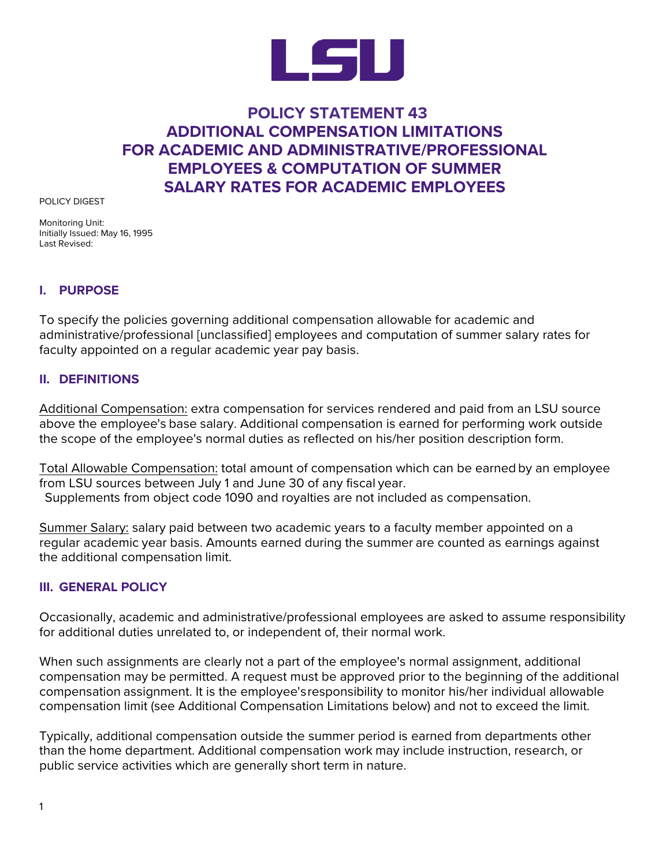

# **POLICY STATEMENT 43 ADDITIONAL COMPENSATION LIMITATIONS FOR ACADEMIC AND ADMINISTRATIVE/PROFESSIONAL EMPLOYEES & COMPUTATION OF SUMMER SALARY RATES FOR ACADEMIC EMPLOYEES**

POLICY DIGEST

Monitoring Unit: Initially Issued: May 16, 1995 Last Revised:

### **I. PURPOSE**

To specify the policies governing additional compensation allowable for academic and administrative/professional [unclassified] employees and computation of summer salary rates for faculty appointed on a regular academic year pay basis.

### **II. DEFINITIONS**

Additional Compensation: extra compensation for services rendered and paid from an LSU source above the employee's base salary. Additional compensation is earned for performing work outside the scope of the employee's normal duties as reflected on his/her position description form.

Total Allowable Compensation: total amount of compensation which can be earned by an employee from LSU sources between July 1 and June 30 of any fiscal year. Supplements from object code 1090 and royalties are not included as compensation.

Summer Salary: salary paid between two academic years to a faculty member appointed on a regular academic year basis. Amounts earned during the summer are counted as earnings against the additional compensation limit.

### **III. GENERAL POLICY**

Occasionally, academic and administrative/professional employees are asked to assume responsibility for additional duties unrelated to, or independent of, their normal work.

When such assignments are clearly not a part of the employee's normal assignment, additional compensation may be permitted. A request must be approved prior to the beginning of the additional compensation assignment. It is the employee'sresponsibility to monitor his/her individual allowable compensation limit (see Additional Compensation Limitations below) and not to exceed the limit.

Typically, additional compensation outside the summer period is earned from departments other than the home department. Additional compensation work may include instruction, research, or public service activities which are generally short term in nature.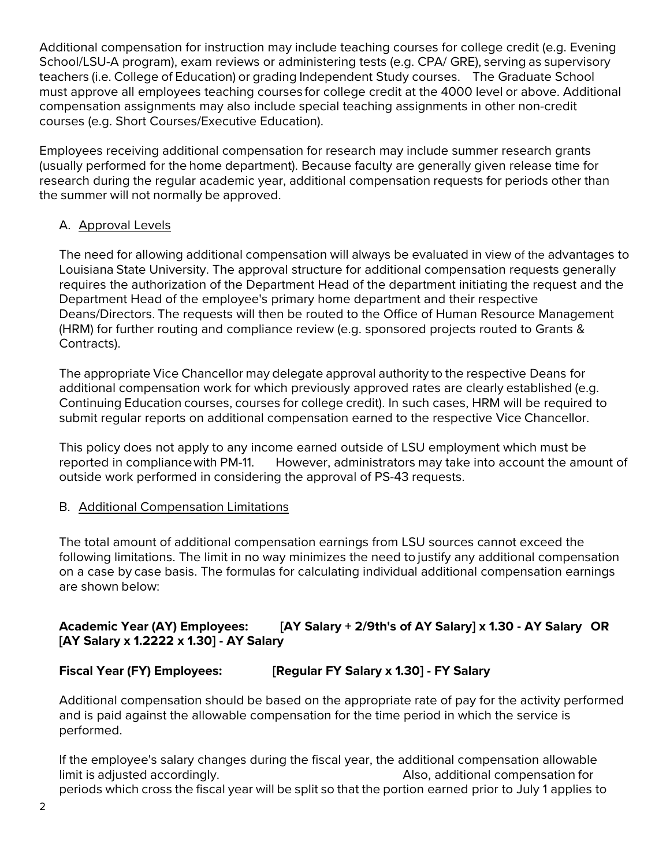Additional compensation for instruction may include teaching courses for college credit (e.g. Evening School/LSU-A program), exam reviews or administering tests (e.g. CPA/ GRE), serving as supervisory teachers (i.e. College of Education) or grading Independent Study courses. The Graduate School must approve all employees teaching courses for college credit at the 4000 level or above. Additional compensation assignments may also include special teaching assignments in other non-credit courses (e.g. Short Courses/Executive Education).

Employees receiving additional compensation for research may include summer research grants (usually performed for the home department). Because faculty are generally given release time for research during the regular academic year, additional compensation requests for periods other than the summer will not normally be approved.

## A. Approval Levels

The need for allowing additional compensation will always be evaluated in view of the advantages to Louisiana State University. The approval structure for additional compensation requests generally requires the authorization of the Department Head of the department initiating the request and the Department Head of the employee's primary home department and their respective Deans/Directors. The requests will then be routed to the Office of Human Resource Management (HRM) for further routing and compliance review (e.g. sponsored projects routed to Grants & Contracts).

The appropriate Vice Chancellor may delegate approval authority to the respective Deans for additional compensation work for which previously approved rates are clearly established (e.g. Continuing Education courses, courses for college credit). In such cases, HRM will be required to submit regular reports on additional compensation earned to the respective Vice Chancellor.

This policy does not apply to any income earned outside of LSU employment which must be reported in compliancewith PM-11. However, administrators may take into account the amount of outside work performed in considering the approval of PS-43 requests.

### B. Additional Compensation Limitations

The total amount of additional compensation earnings from LSU sources cannot exceed the following limitations. The limit in no way minimizes the need to justify any additional compensation on a case by case basis. The formulas for calculating individual additional compensation earnings are shown below:

# **Academic Year (AY) Employees: [AY Salary + 2/9th's of AY Salary] x 1.30 - AY Salary OR [AY Salary x 1.2222 x 1.30] - AY Salary**

# **Fiscal Year (FY) Employees: [Regular FY Salary x 1.30] - FY Salary**

Additional compensation should be based on the appropriate rate of pay for the activity performed and is paid against the allowable compensation for the time period in which the service is performed.

If the employee's salary changes during the fiscal year, the additional compensation allowable limit is adjusted accordingly. Also, additional compensation for periods which cross the fiscal year will be split so that the portion earned prior to July 1 applies to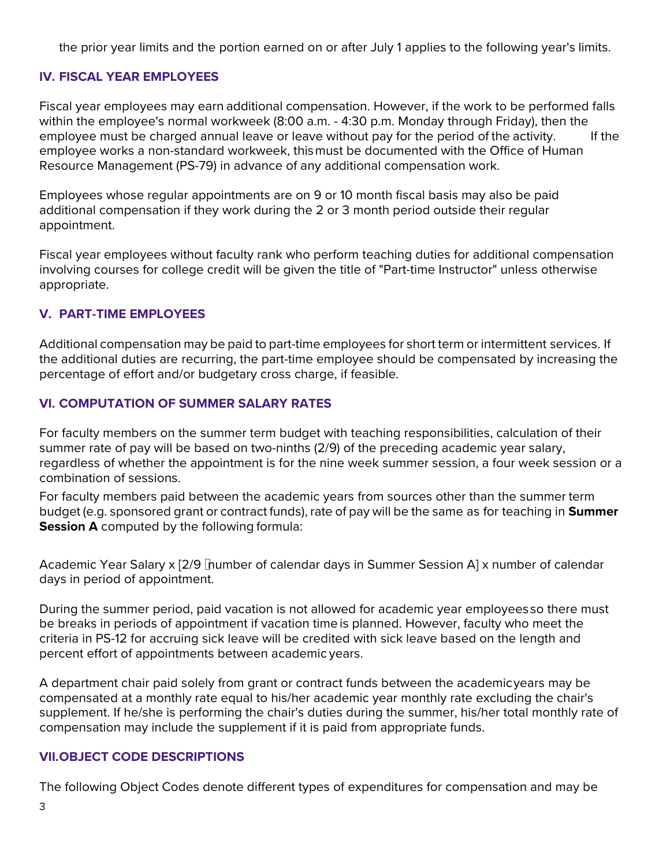the prior year limits and the portion earned on or after July 1 applies to the following year's limits.

### **IV. FISCAL YEAR EMPLOYEES**

Fiscal year employees may earn additional compensation. However, if the work to be performed falls within the employee's normal workweek (8:00 a.m. - 4:30 p.m. Monday through Friday), then the employee must be charged annual leave or leave without pay for the period of the activity. If the employee works a non-standard workweek, thismust be documented with the Office of Human Resource Management (PS-79) in advance of any additional compensation work.

Employees whose regular appointments are on 9 or 10 month fiscal basis may also be paid additional compensation if they work during the 2 or 3 month period outside their regular appointment.

Fiscal year employees without faculty rank who perform teaching duties for additional compensation involving courses for college credit will be given the title of "Part-time Instructor" unless otherwise appropriate.

### **V. PART-TIME EMPLOYEES**

Additional compensation may be paid to part-time employees for short term or intermittent services. If the additional duties are recurring, the part-time employee should be compensated by increasing the percentage of effort and/or budgetary cross charge, if feasible.

### **VI. COMPUTATION OF SUMMER SALARY RATES**

For faculty members on the summer term budget with teaching responsibilities, calculation of their summer rate of pay will be based on two-ninths (2/9) of the preceding academic year salary, regardless of whether the appointment is for the nine week summer session, a four week session or a combination of sessions.

For faculty members paid between the academic years from sources other than the summer term budget (e.g. sponsored grant or contract funds), rate of pay will be the same as for teaching in **Summer Session A** computed by the following formula:

Academic Year Salary x [2/9 number of calendar days in Summer Session A] x number of calendar days in period of appointment.

During the summer period, paid vacation is not allowed for academic year employeesso there must be breaks in periods of appointment if vacation time is planned. However, faculty who meet the criteria in PS-12 for accruing sick leave will be credited with sick leave based on the length and percent effort of appointments between academic years.

A department chair paid solely from grant or contract funds between the academicyears may be compensated at a monthly rate equal to his/her academic year monthly rate excluding the chair's supplement. If he/she is performing the chair's duties during the summer, his/her total monthly rate of compensation may include the supplement if it is paid from appropriate funds.

#### **VII.OBJECT CODE DESCRIPTIONS**

The following Object Codes denote different types of expenditures for compensation and may be